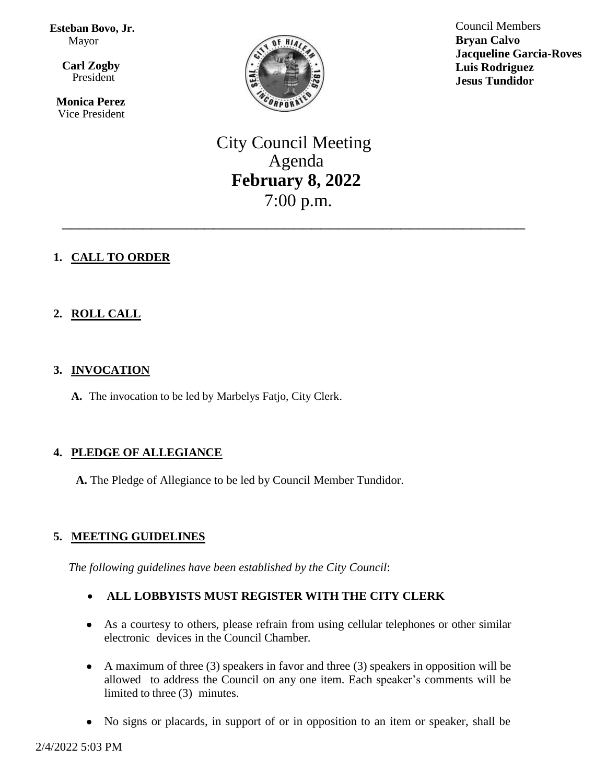**Esteban Bovo, Jr.**  Mayor

 $\overline{\mathbf{a}}$  **Carl Zogby** President

> **Monica Perez** Vice President



Council Members **Bryan Calvo Jacqueline Garcia-Roves Luis Rodriguez Jesus Tundidor**

City Council Meeting Agenda **February 8, 2022** 7:00 p.m.

\_\_\_\_\_\_\_\_\_\_\_\_\_\_\_\_\_\_\_\_\_\_\_\_\_\_\_\_\_\_\_\_\_\_\_\_\_\_\_\_\_\_\_\_\_\_\_\_\_\_\_\_

# **1. CALL TO ORDER**

# **2. ROLL CALL**

### **3. INVOCATION**

**A.** The invocation to be led by Marbelys Fatjo, City Clerk.

# **4. PLEDGE OF ALLEGIANCE**

**A.** The Pledge of Allegiance to be led by Council Member Tundidor.

# **5. MEETING GUIDELINES**

*The following guidelines have been established by the City Council*:

# **ALL LOBBYISTS MUST REGISTER WITH THE CITY CLERK**

- As a courtesy to others, please refrain from using cellular telephones or other similar electronic devices in the Council Chamber.
- A maximum of three (3) speakers in favor and three (3) speakers in opposition will be allowed to address the Council on any one item. Each speaker's comments will be limited to three (3) minutes.
- No signs or placards, in support of or in opposition to an item or speaker, shall be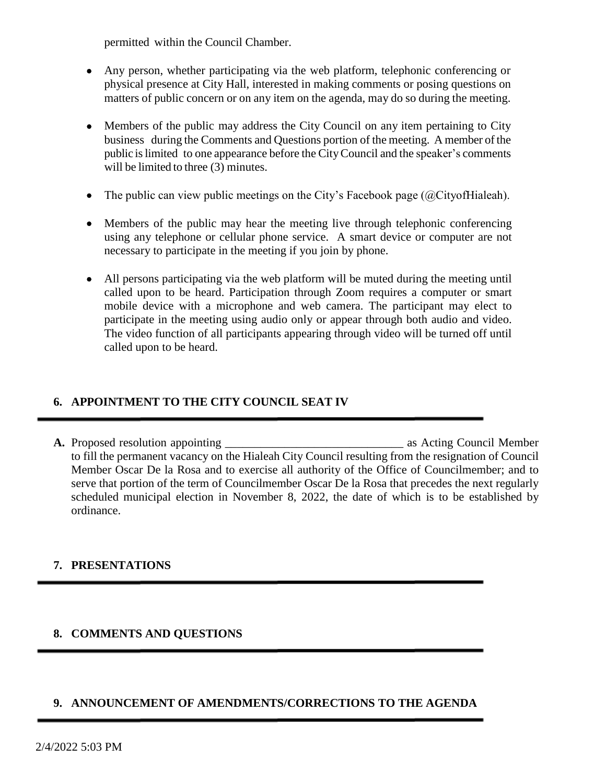permitted within the Council Chamber.

- Any person, whether participating via the web platform, telephonic conferencing or physical presence at City Hall, interested in making comments or posing questions on matters of public concern or on any item on the agenda, may do so during the meeting.
- Members of the public may address the City Council on any item pertaining to City business during the Comments and Questions portion of the meeting. A member of the public islimited to one appearance before the CityCouncil and the speaker's comments will be limited to three (3) minutes.
- The public can view public meetings on the City's Facebook page  $(QCity of Hiale)$ .
- Members of the public may hear the meeting live through telephonic conferencing using any telephone or cellular phone service. A smart device or computer are not necessary to participate in the meeting if you join by phone.
- All persons participating via the web platform will be muted during the meeting until called upon to be heard. Participation through Zoom requires a computer or smart mobile device with a microphone and web camera. The participant may elect to participate in the meeting using audio only or appear through both audio and video. The video function of all participants appearing through video will be turned off until called upon to be heard.

# **6. APPOINTMENT TO THE CITY COUNCIL SEAT IV**

**A.** Proposed resolution appointing \_\_\_\_\_\_\_\_\_\_\_\_\_\_\_\_\_\_\_\_\_\_\_\_\_\_\_\_\_\_ as Acting Council Member to fill the permanent vacancy on the Hialeah City Council resulting from the resignation of Council Member Oscar De la Rosa and to exercise all authority of the Office of Councilmember; and to serve that portion of the term of Councilmember Oscar De la Rosa that precedes the next regularly scheduled municipal election in November 8, 2022, the date of which is to be established by ordinance.

# **7. PRESENTATIONS**

# **8. COMMENTS AND QUESTIONS**

### **9. ANNOUNCEMENT OF AMENDMENTS/CORRECTIONS TO THE AGENDA**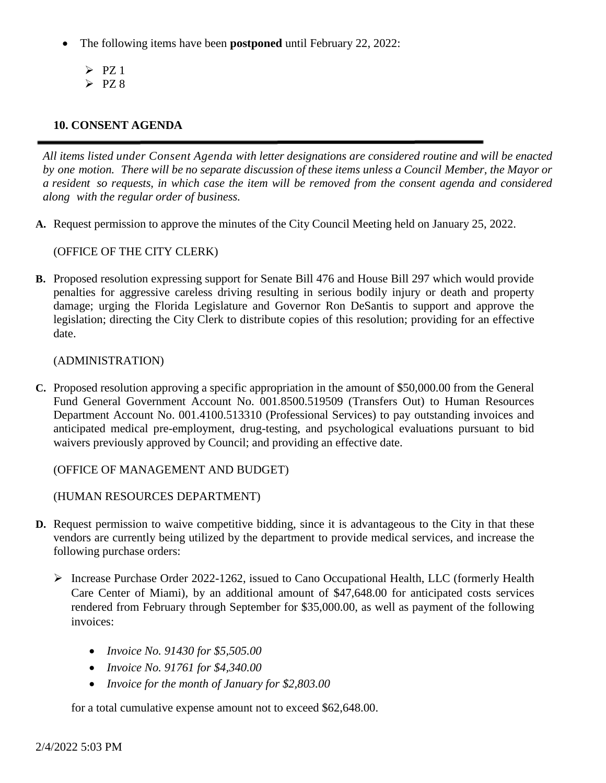- The following items have been **postponed** until February 22, 2022:
	- $\triangleright$  PZ 1  $\triangleright$  PZ 8
- 

# **10. CONSENT AGENDA**

*All items listed under Consent Agenda with letter designations are considered routine and will be enacted* by one motion. There will be no separate discussion of these items unless a Council Member, the Mayor or a resident so requests, in which case the item will be removed from the consent agenda and considered *along with the regular order of business.*

**A.** Request permission to approve the minutes of the City Council Meeting held on January 25, 2022.

### (OFFICE OF THE CITY CLERK)

**B.** Proposed resolution expressing support for Senate Bill 476 and House Bill 297 which would provide penalties for aggressive careless driving resulting in serious bodily injury or death and property damage; urging the Florida Legislature and Governor Ron DeSantis to support and approve the legislation; directing the City Clerk to distribute copies of this resolution; providing for an effective date.

#### (ADMINISTRATION)

**C.** Proposed resolution approving a specific appropriation in the amount of \$50,000.00 from the General Fund General Government Account No. 001.8500.519509 (Transfers Out) to Human Resources Department Account No. 001.4100.513310 (Professional Services) to pay outstanding invoices and anticipated medical pre-employment, drug-testing, and psychological evaluations pursuant to bid waivers previously approved by Council; and providing an effective date.

(OFFICE OF MANAGEMENT AND BUDGET)

(HUMAN RESOURCES DEPARTMENT)

- **D.** Request permission to waive competitive bidding, since it is advantageous to the City in that these vendors are currently being utilized by the department to provide medical services, and increase the following purchase orders:
	- Increase Purchase Order 2022-1262, issued to Cano Occupational Health, LLC (formerly Health Care Center of Miami), by an additional amount of \$47,648.00 for anticipated costs services rendered from February through September for \$35,000.00, as well as payment of the following invoices:
		- *Invoice No. 91430 for \$5,505.00*
		- *Invoice No. 91761 for \$4,340.00*
		- *Invoice for the month of January for \$2,803.00*

for a total cumulative expense amount not to exceed \$62,648.00.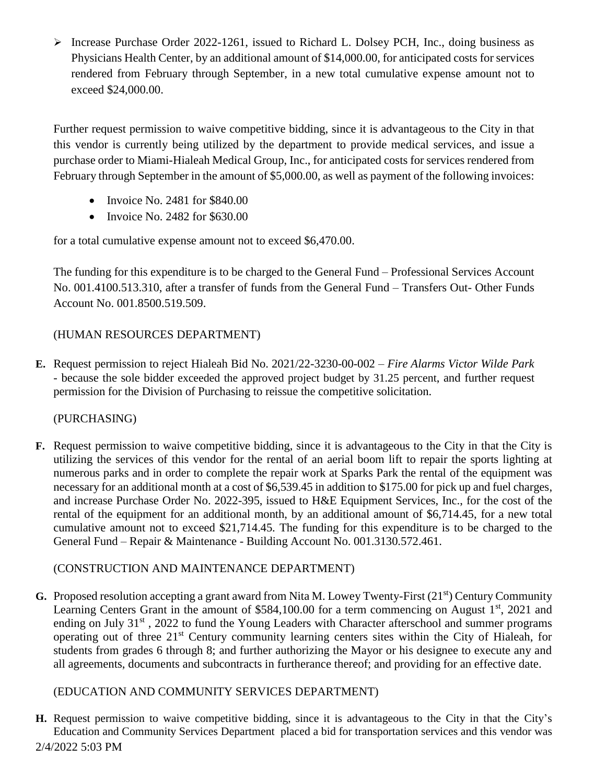$\triangleright$  Increase Purchase Order 2022-1261, issued to Richard L. Dolsey PCH, Inc., doing business as Physicians Health Center, by an additional amount of \$14,000.00, for anticipated costs for services rendered from February through September, in a new total cumulative expense amount not to exceed \$24,000.00.

Further request permission to waive competitive bidding, since it is advantageous to the City in that this vendor is currently being utilized by the department to provide medical services, and issue a purchase order to Miami-Hialeah Medical Group, Inc., for anticipated costs for services rendered from February through September in the amount of \$5,000.00, as well as payment of the following invoices:

- $\bullet$  Invoice No. 2481 for \$840.00
- $\bullet$  Invoice No. 2482 for \$630.00

for a total cumulative expense amount not to exceed \$6,470.00.

The funding for this expenditure is to be charged to the General Fund – Professional Services Account No. 001.4100.513.310, after a transfer of funds from the General Fund – Transfers Out- Other Funds Account No. 001.8500.519.509.

# (HUMAN RESOURCES DEPARTMENT)

**E.** Request permission to reject Hialeah Bid No. 2021/22-3230-00-002 – *Fire Alarms Victor Wilde Park -* because the sole bidder exceeded the approved project budget by 31.25 percent, and further request permission for the Division of Purchasing to reissue the competitive solicitation.

# (PURCHASING)

**F.** Request permission to waive competitive bidding, since it is advantageous to the City in that the City is utilizing the services of this vendor for the rental of an aerial boom lift to repair the sports lighting at numerous parks and in order to complete the repair work at Sparks Park the rental of the equipment was necessary for an additional month at a cost of \$6,539.45 in addition to \$175.00 for pick up and fuel charges, and increase Purchase Order No. 2022-395, issued to H&E Equipment Services, Inc., for the cost of the rental of the equipment for an additional month, by an additional amount of \$6,714.45, for a new total cumulative amount not to exceed \$21,714.45. The funding for this expenditure is to be charged to the General Fund – Repair & Maintenance - Building Account No. 001.3130.572.461.

# (CONSTRUCTION AND MAINTENANCE DEPARTMENT)

**G.** Proposed resolution accepting a grant award from Nita M. Lowey Twenty-First (21<sup>st</sup>) Century Community Learning Centers Grant in the amount of \$584,100.00 for a term commencing on August  $1<sup>st</sup>$ , 2021 and ending on July 31<sup>st</sup>, 2022 to fund the Young Leaders with Character afterschool and summer programs operating out of three 21st Century community learning centers sites within the City of Hialeah, for students from grades 6 through 8; and further authorizing the Mayor or his designee to execute any and all agreements, documents and subcontracts in furtherance thereof; and providing for an effective date.

# (EDUCATION AND COMMUNITY SERVICES DEPARTMENT)

2/4/2022 5:03 PM **H.** Request permission to waive competitive bidding, since it is advantageous to the City in that the City's Education and Community Services Department placed a bid for transportation services and this vendor was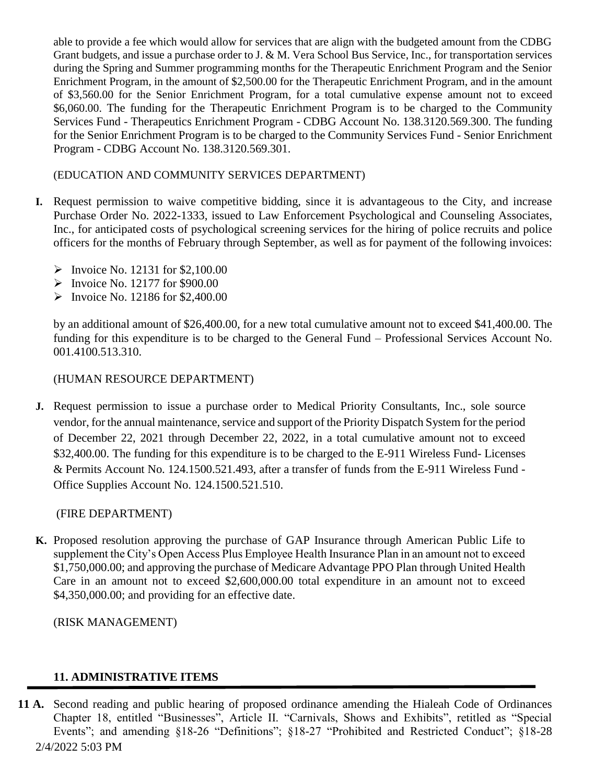able to provide a fee which would allow for services that are align with the budgeted amount from the CDBG Grant budgets, and issue a purchase order to J. & M. Vera School Bus Service, Inc., for transportation services during the Spring and Summer programming months for the Therapeutic Enrichment Program and the Senior Enrichment Program, in the amount of \$2,500.00 for the Therapeutic Enrichment Program, and in the amount of \$3,560.00 for the Senior Enrichment Program, for a total cumulative expense amount not to exceed \$6,060.00. The funding for the Therapeutic Enrichment Program is to be charged to the Community Services Fund - Therapeutics Enrichment Program - CDBG Account No. 138.3120.569.300. The funding for the Senior Enrichment Program is to be charged to the Community Services Fund - Senior Enrichment Program - CDBG Account No. 138.3120.569.301.

### (EDUCATION AND COMMUNITY SERVICES DEPARTMENT)

- **I.** Request permission to waive competitive bidding, since it is advantageous to the City, and increase Purchase Order No. 2022-1333, issued to Law Enforcement Psychological and Counseling Associates, Inc., for anticipated costs of psychological screening services for the hiring of police recruits and police officers for the months of February through September, as well as for payment of the following invoices:
	- $\triangleright$  Invoice No. 12131 for \$2,100.00
	- $\blacktriangleright$  Invoice No. 12177 for \$900.00
	- $\triangleright$  Invoice No. 12186 for \$2,400.00

by an additional amount of \$26,400.00, for a new total cumulative amount not to exceed \$41,400.00. The funding for this expenditure is to be charged to the General Fund – Professional Services Account No. 001.4100.513.310.

#### (HUMAN RESOURCE DEPARTMENT)

**J.** Request permission to issue a purchase order to Medical Priority Consultants, Inc., sole source vendor, for the annual maintenance, service and support of the Priority Dispatch System for the period of December 22, 2021 through December 22, 2022, in a total cumulative amount not to exceed \$32,400.00. The funding for this expenditure is to be charged to the E-911 Wireless Fund- Licenses & Permits Account No. 124.1500.521.493, after a transfer of funds from the E-911 Wireless Fund - Office Supplies Account No. 124.1500.521.510.

#### (FIRE DEPARTMENT)

**K.** Proposed resolution approving the purchase of GAP Insurance through American Public Life to supplement the City's Open Access Plus Employee Health Insurance Plan in an amount not to exceed \$1,750,000.00; and approving the purchase of Medicare Advantage PPO Plan through United Health Care in an amount not to exceed \$2,600,000.00 total expenditure in an amount not to exceed \$4,350,000.00; and providing for an effective date.

(RISK MANAGEMENT)

### **11. ADMINISTRATIVE ITEMS**

2/4/2022 5:03 PM **11 A.** Second reading and public hearing of proposed ordinance amending the Hialeah Code of Ordinances Chapter 18, entitled "Businesses", Article II. "Carnivals, Shows and Exhibits", retitled as "Special Events"; and amending §18-26 "Definitions"; §18-27 "Prohibited and Restricted Conduct"; §18-28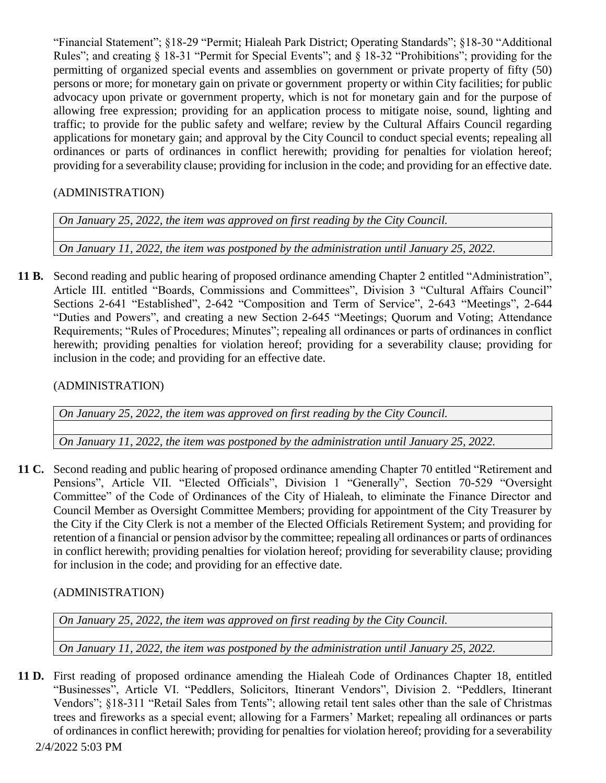"Financial Statement"; §18-29 "Permit; Hialeah Park District; Operating Standards"; §18-30 "Additional Rules"; and creating § 18-31 "Permit for Special Events"; and § 18-32 "Prohibitions"; providing for the permitting of organized special events and assemblies on government or private property of fifty (50) persons or more; for monetary gain on private or government property or within City facilities; for public advocacy upon private or government property, which is not for monetary gain and for the purpose of allowing free expression; providing for an application process to mitigate noise, sound, lighting and traffic; to provide for the public safety and welfare; review by the Cultural Affairs Council regarding applications for monetary gain; and approval by the City Council to conduct special events; repealing all ordinances or parts of ordinances in conflict herewith; providing for penalties for violation hereof; providing for a severability clause; providing for inclusion in the code; and providing for an effective date.

# (ADMINISTRATION)

*On January 25, 2022, the item was approved on first reading by the City Council.*

*On January 11, 2022, the item was postponed by the administration until January 25, 2022.*

**11 B.** Second reading and public hearing of proposed ordinance amending Chapter 2 entitled "Administration", Article III. entitled "Boards, Commissions and Committees", Division 3 "Cultural Affairs Council" Sections 2-641 "Established", 2-642 "Composition and Term of Service", 2-643 "Meetings", 2-644 "Duties and Powers", and creating a new Section 2-645 "Meetings; Quorum and Voting; Attendance Requirements; "Rules of Procedures; Minutes"; repealing all ordinances or parts of ordinances in conflict herewith; providing penalties for violation hereof; providing for a severability clause; providing for inclusion in the code; and providing for an effective date.

(ADMINISTRATION)

*On January 25, 2022, the item was approved on first reading by the City Council.*

*On January 11, 2022, the item was postponed by the administration until January 25, 2022.*

**11 C.** Second reading and public hearing of proposed ordinance amending Chapter 70 entitled "Retirement and Pensions", Article VII. "Elected Officials", Division 1 "Generally", Section 70-529 "Oversight Committee" of the Code of Ordinances of the City of Hialeah, to eliminate the Finance Director and Council Member as Oversight Committee Members; providing for appointment of the City Treasurer by the City if the City Clerk is not a member of the Elected Officials Retirement System; and providing for retention of a financial or pension advisor by the committee; repealing all ordinances or parts of ordinances in conflict herewith; providing penalties for violation hereof; providing for severability clause; providing for inclusion in the code; and providing for an effective date.

# (ADMINISTRATION)

*On January 25, 2022, the item was approved on first reading by the City Council.*

*On January 11, 2022, the item was postponed by the administration until January 25, 2022.*

2/4/2022 5:03 PM **11 D.** First reading of proposed ordinance amending the Hialeah Code of Ordinances Chapter 18, entitled "Businesses", Article VI. "Peddlers, Solicitors, Itinerant Vendors", Division 2. "Peddlers, Itinerant Vendors"; §18-311 "Retail Sales from Tents"; allowing retail tent sales other than the sale of Christmas trees and fireworks as a special event; allowing for a Farmers' Market; repealing all ordinances or parts of ordinances in conflict herewith; providing for penalties for violation hereof; providing for a severability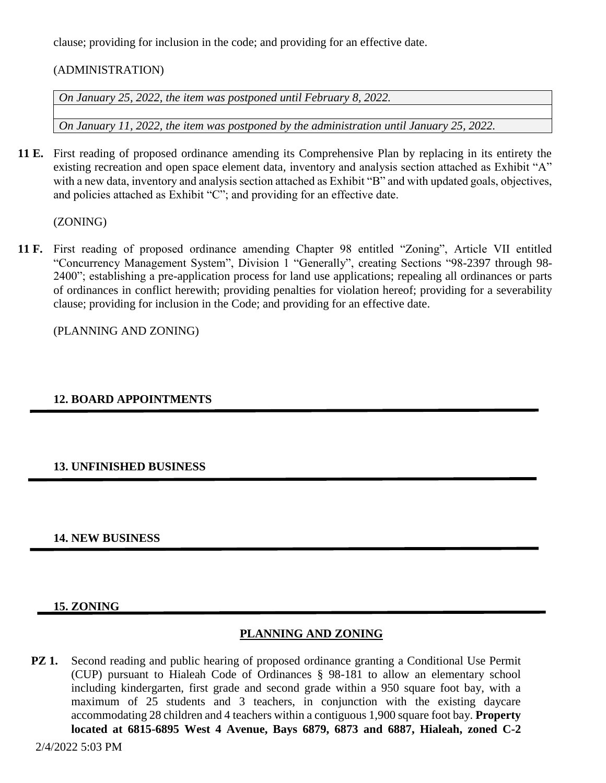clause; providing for inclusion in the code; and providing for an effective date.

### (ADMINISTRATION)

*On January 25, 2022, the item was postponed until February 8, 2022.*

*On January 11, 2022, the item was postponed by the administration until January 25, 2022.*

**11 E.** First reading of proposed ordinance amending its Comprehensive Plan by replacing in its entirety the existing recreation and open space element data, inventory and analysis section attached as Exhibit "A" with a new data, inventory and analysis section attached as Exhibit "B" and with updated goals, objectives, and policies attached as Exhibit "C"; and providing for an effective date.

(ZONING)

**11 F.** First reading of proposed ordinance amending Chapter 98 entitled "Zoning", Article VII entitled "Concurrency Management System", Division 1 "Generally", creating Sections "98-2397 through 98- 2400"; establishing a pre-application process for land use applications; repealing all ordinances or parts of ordinances in conflict herewith; providing penalties for violation hereof; providing for a severability clause; providing for inclusion in the Code; and providing for an effective date.

(PLANNING AND ZONING)

# **12. BOARD APPOINTMENTS**

### **13. UNFINISHED BUSINESS**

### **14. NEW BUSINESS**

### **15. ZONING**

### **PLANNING AND ZONING**

**PZ 1.** Second reading and public hearing of proposed ordinance granting a Conditional Use Permit (CUP) pursuant to Hialeah Code of Ordinances § 98-181 to allow an elementary school including kindergarten, first grade and second grade within a 950 square foot bay, with a maximum of 25 students and 3 teachers, in conjunction with the existing daycare accommodating 28 children and 4 teachers within a contiguous 1,900 square foot bay. **Property located at 6815-6895 West 4 Avenue, Bays 6879, 6873 and 6887, Hialeah, zoned C-2**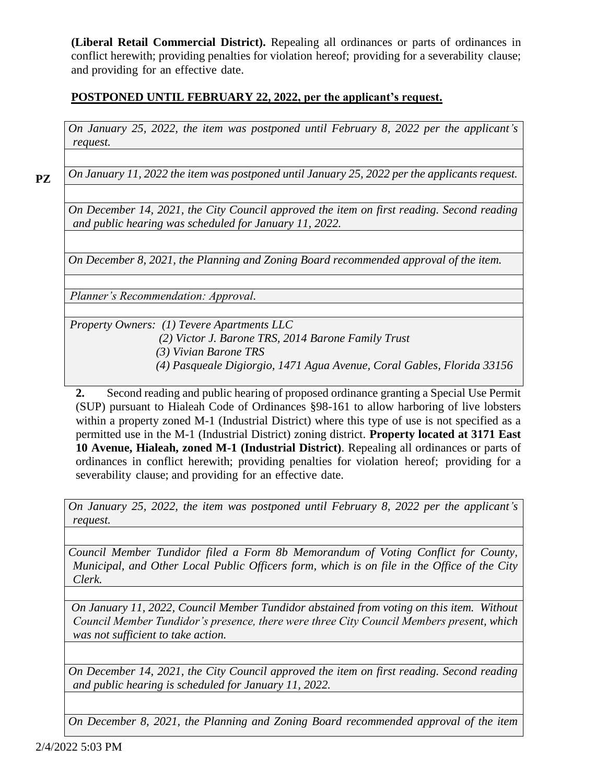**(Liberal Retail Commercial District).** Repealing all ordinances or parts of ordinances in conflict herewith; providing penalties for violation hereof; providing for a severability clause; and providing for an effective date.

### **POSTPONED UNTIL FEBRUARY 22, 2022, per the applicant's request.**

*On January 25, 2022, the item was postponed until February 8, 2022 per the applicant's request.*

**PZ**

*On January 11, 2022 the item was postponed until January 25, 2022 per the applicants request.*

*On December 14, 2021, the City Council approved the item on first reading. Second reading and public hearing was scheduled for January 11, 2022.*

*On December 8, 2021, the Planning and Zoning Board recommended approval of the item.*

*Planner's Recommendation: Approval.*

*Property Owners: (1) Tevere Apartments LLC*

- *(2) Victor J. Barone TRS, 2014 Barone Family Trust* 
	- *(3) Vivian Barone TRS*
- *(4) Pasqueale Digiorgio, 1471 Agua Avenue, Coral Gables, Florida 33156*

**2.** Second reading and public hearing of proposed ordinance granting a Special Use Permit (SUP) pursuant to Hialeah Code of Ordinances §98-161 to allow harboring of live lobsters within a property zoned M-1 (Industrial District) where this type of use is not specified as a permitted use in the M-1 (Industrial District) zoning district. **Property located at 3171 East 10 Avenue, Hialeah, zoned M-1 (Industrial District)**. Repealing all ordinances or parts of ordinances in conflict herewith; providing penalties for violation hereof; providing for a severability clause; and providing for an effective date.

*On January 25, 2022, the item was postponed until February 8, 2022 per the applicant's request.*

*Council Member Tundidor filed a Form 8b Memorandum of Voting Conflict for County, Municipal, and Other Local Public Officers form, which is on file in the Office of the City Clerk.*

*On January 11, 2022, Council Member Tundidor abstained from voting on this item. Without Council Member Tundidor's presence, there were three City Council Members present, which was not sufficient to take action.* 

*On December 14, 2021, the City Council approved the item on first reading. Second reading and public hearing is scheduled for January 11, 2022.*

*On December 8, 2021, the Planning and Zoning Board recommended approval of the item*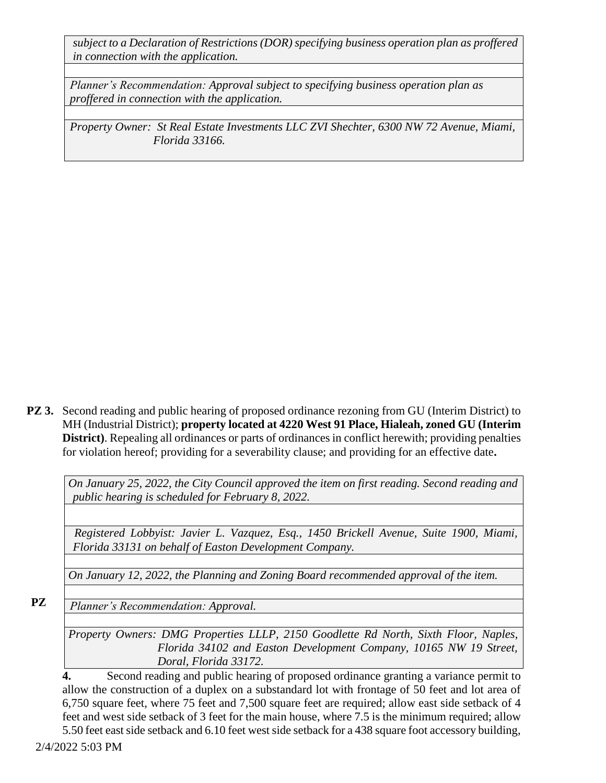*subject to a Declaration of Restrictions (DOR) specifying business operation plan as proffered in connection with the application.*

*Planner's Recommendation: Approval subject to specifying business operation plan as proffered in connection with the application.*

*Property Owner: St Real Estate Investments LLC ZVI Shechter, 6300 NW 72 Avenue, Miami, Florida 33166.*

**PZ 3.** Second reading and public hearing of proposed ordinance rezoning from GU (Interim District) to MH (Industrial District); **property located at 4220 West 91 Place, Hialeah, zoned GU (Interim District)**. Repealing all ordinances or parts of ordinances in conflict herewith; providing penalties for violation hereof; providing for a severability clause; and providing for an effective date**.**

*On January 25, 2022, the City Council approved the item on first reading. Second reading and public hearing is scheduled for February 8, 2022.*

 *Registered Lobbyist: Javier L. Vazquez, Esq., 1450 Brickell Avenue, Suite 1900, Miami, Florida 33131 on behalf of Easton Development Company.*

*On January 12, 2022, the Planning and Zoning Board recommended approval of the item.*

**PZ** 

*Planner's Recommendation: Approval.*

*Property Owners: DMG Properties LLLP, 2150 Goodlette Rd North, Sixth Floor, Naples, Florida 34102 and Easton Development Company, 10165 NW 19 Street, Doral, Florida 33172.*

**4.** Second reading and public hearing of proposed ordinance granting a variance permit to allow the construction of a duplex on a substandard lot with frontage of 50 feet and lot area of 6,750 square feet, where 75 feet and 7,500 square feet are required; allow east side setback of 4 feet and west side setback of 3 feet for the main house, where 7.5 is the minimum required; allow 5.50 feet east side setback and 6.10 feet west side setback for a 438 square foot accessory building,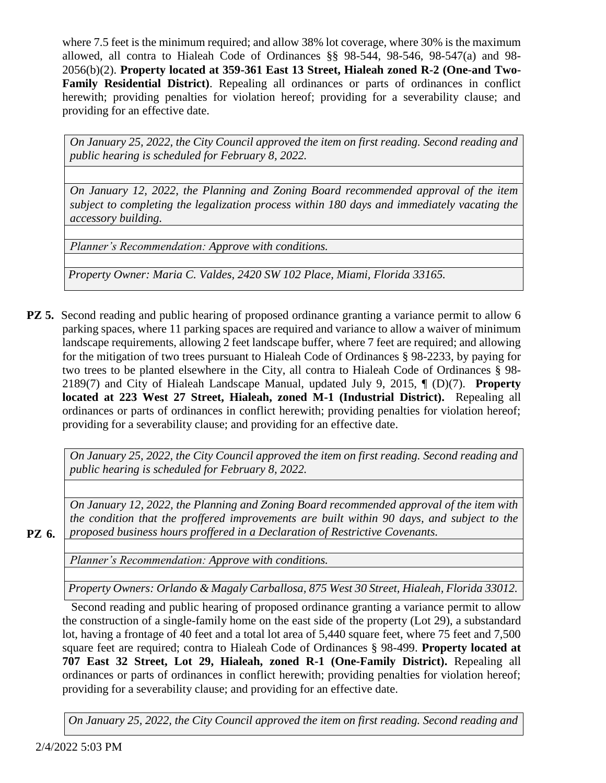where 7.5 feet is the minimum required; and allow 38% lot coverage, where 30% is the maximum allowed, all contra to Hialeah Code of Ordinances §§ 98-544, 98-546, 98-547(a) and 98- 2056(b)(2). **Property located at 359-361 East 13 Street, Hialeah zoned R-2 (One-and Two-Family Residential District)**. Repealing all ordinances or parts of ordinances in conflict herewith; providing penalties for violation hereof; providing for a severability clause; and providing for an effective date.

*On January 25, 2022, the City Council approved the item on first reading. Second reading and public hearing is scheduled for February 8, 2022.*

*On January 12, 2022, the Planning and Zoning Board recommended approval of the item subject to completing the legalization process within 180 days and immediately vacating the accessory building.*

*Planner's Recommendation: Approve with conditions.* 

*Property Owner: Maria C. Valdes, 2420 SW 102 Place, Miami, Florida 33165.*

**PZ 5.** Second reading and public hearing of proposed ordinance granting a variance permit to allow 6 parking spaces, where 11 parking spaces are required and variance to allow a waiver of minimum landscape requirements, allowing 2 feet landscape buffer, where 7 feet are required; and allowing for the mitigation of two trees pursuant to Hialeah Code of Ordinances § 98-2233, by paying for two trees to be planted elsewhere in the City, all contra to Hialeah Code of Ordinances § 98- 2189(7) and City of Hialeah Landscape Manual, updated July 9, 2015, ¶ (D)(7). **Property located at 223 West 27 Street, Hialeah, zoned M-1 (Industrial District).** Repealing all ordinances or parts of ordinances in conflict herewith; providing penalties for violation hereof; providing for a severability clause; and providing for an effective date.

*On January 25, 2022, the City Council approved the item on first reading. Second reading and public hearing is scheduled for February 8, 2022.*

*On January 12, 2022, the Planning and Zoning Board recommended approval of the item with the condition that the proffered improvements are built within 90 days, and subject to the proposed business hours proffered in a Declaration of Restrictive Covenants.*

**PZ 6.** 

*Planner's Recommendation: Approve with conditions.* 

*Property Owners: Orlando & Magaly Carballosa, 875 West 30 Street, Hialeah, Florida 33012.*

Second reading and public hearing of proposed ordinance granting a variance permit to allow the construction of a single-family home on the east side of the property (Lot 29), a substandard lot, having a frontage of 40 feet and a total lot area of 5,440 square feet, where 75 feet and 7,500 square feet are required; contra to Hialeah Code of Ordinances § 98-499. **Property located at 707 East 32 Street, Lot 29, Hialeah, zoned R-1 (One-Family District).** Repealing all ordinances or parts of ordinances in conflict herewith; providing penalties for violation hereof; providing for a severability clause; and providing for an effective date.

*On January 25, 2022, the City Council approved the item on first reading. Second reading and*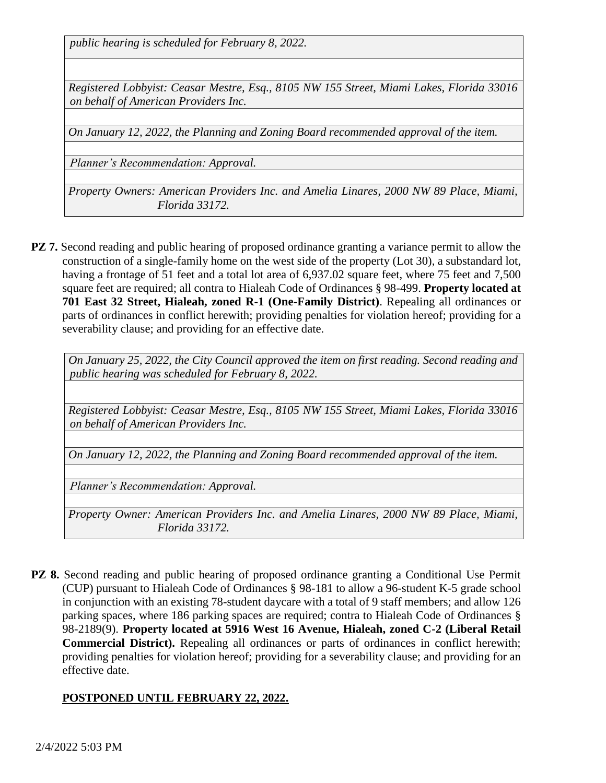*public hearing is scheduled for February 8, 2022.*

*Registered Lobbyist: Ceasar Mestre, Esq., 8105 NW 155 Street, Miami Lakes, Florida 33016 on behalf of American Providers Inc.*

*On January 12, 2022, the Planning and Zoning Board recommended approval of the item.*

*Planner's Recommendation: Approval.*

*Property Owners: American Providers Inc. and Amelia Linares, 2000 NW 89 Place, Miami, Florida 33172.*

**PZ 7.** Second reading and public hearing of proposed ordinance granting a variance permit to allow the construction of a single-family home on the west side of the property (Lot 30), a substandard lot, having a frontage of 51 feet and a total lot area of 6,937.02 square feet, where 75 feet and 7,500 square feet are required; all contra to Hialeah Code of Ordinances § 98-499. **Property located at 701 East 32 Street, Hialeah, zoned R-1 (One-Family District)**. Repealing all ordinances or parts of ordinances in conflict herewith; providing penalties for violation hereof; providing for a severability clause; and providing for an effective date.

*On January 25, 2022, the City Council approved the item on first reading. Second reading and public hearing was scheduled for February 8, 2022.*

*Registered Lobbyist: Ceasar Mestre, Esq., 8105 NW 155 Street, Miami Lakes, Florida 33016 on behalf of American Providers Inc.*

*On January 12, 2022, the Planning and Zoning Board recommended approval of the item.*

*Planner's Recommendation: Approval.*

*Property Owner: American Providers Inc. and Amelia Linares, 2000 NW 89 Place, Miami, Florida 33172.*

**PZ 8.** Second reading and public hearing of proposed ordinance granting a Conditional Use Permit (CUP) pursuant to Hialeah Code of Ordinances § 98-181 to allow a 96-student K-5 grade school in conjunction with an existing 78-student daycare with a total of 9 staff members; and allow 126 parking spaces, where 186 parking spaces are required; contra to Hialeah Code of Ordinances § 98-2189(9). **Property located at 5916 West 16 Avenue, Hialeah, zoned C-2 (Liberal Retail Commercial District).** Repealing all ordinances or parts of ordinances in conflict herewith; providing penalties for violation hereof; providing for a severability clause; and providing for an effective date.

#### **POSTPONED UNTIL FEBRUARY 22, 2022.**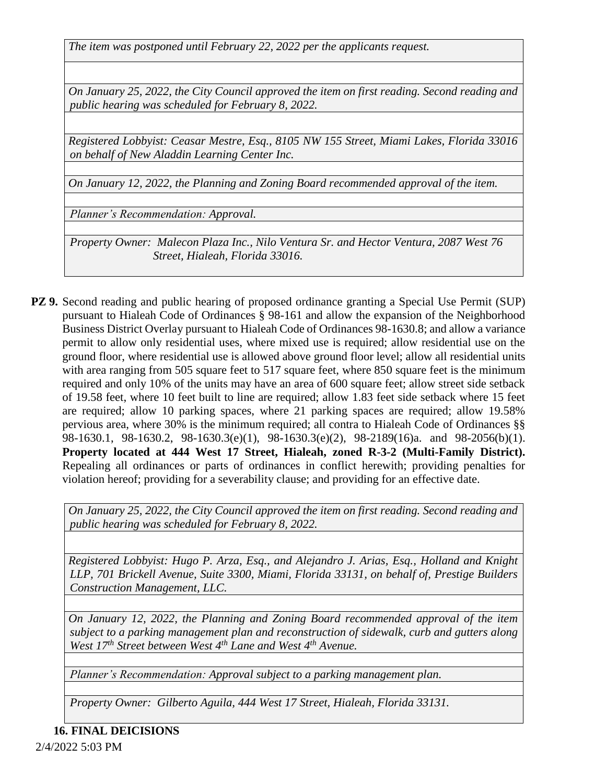*The item was postponed until February 22, 2022 per the applicants request.* 

*On January 25, 2022, the City Council approved the item on first reading. Second reading and public hearing was scheduled for February 8, 2022.*

*Registered Lobbyist: Ceasar Mestre, Esq., 8105 NW 155 Street, Miami Lakes, Florida 33016 on behalf of New Aladdin Learning Center Inc.* 

*On January 12, 2022, the Planning and Zoning Board recommended approval of the item.*

*Planner's Recommendation: Approval.*

*Property Owner: Malecon Plaza Inc., Nilo Ventura Sr. and Hector Ventura, 2087 West 76 Street, Hialeah, Florida 33016.*

**PZ 9.** Second reading and public hearing of proposed ordinance granting a Special Use Permit (SUP) pursuant to Hialeah Code of Ordinances § 98-161 and allow the expansion of the Neighborhood Business District Overlay pursuant to Hialeah Code of Ordinances 98-1630.8; and allow a variance permit to allow only residential uses, where mixed use is required; allow residential use on the ground floor, where residential use is allowed above ground floor level; allow all residential units with area ranging from 505 square feet to 517 square feet, where 850 square feet is the minimum required and only 10% of the units may have an area of 600 square feet; allow street side setback of 19.58 feet, where 10 feet built to line are required; allow 1.83 feet side setback where 15 feet are required; allow 10 parking spaces, where 21 parking spaces are required; allow 19.58% pervious area, where 30% is the minimum required; all contra to Hialeah Code of Ordinances §§ 98-1630.1, 98-1630.2, 98-1630.3(e)(1), 98-1630.3(e)(2), 98-2189(16)a. and 98-2056(b)(1). **Property located at 444 West 17 Street, Hialeah, zoned R-3-2 (Multi-Family District).** Repealing all ordinances or parts of ordinances in conflict herewith; providing penalties for violation hereof; providing for a severability clause; and providing for an effective date.

*On January 25, 2022, the City Council approved the item on first reading. Second reading and public hearing was scheduled for February 8, 2022.*

*Registered Lobbyist: Hugo P. Arza, Esq., and Alejandro J. Arias, Esq., Holland and Knight LLP, 701 Brickell Avenue, Suite 3300, Miami, Florida 33131, on behalf of, Prestige Builders Construction Management, LLC.* 

*On January 12, 2022, the Planning and Zoning Board recommended approval of the item subject to a parking management plan and reconstruction of sidewalk, curb and gutters along West 17th Street between West 4th Lane and West 4th Avenue.*

*Planner's Recommendation: Approval subject to a parking management plan.*

*Property Owner: Gilberto Aguila, 444 West 17 Street, Hialeah, Florida 33131.*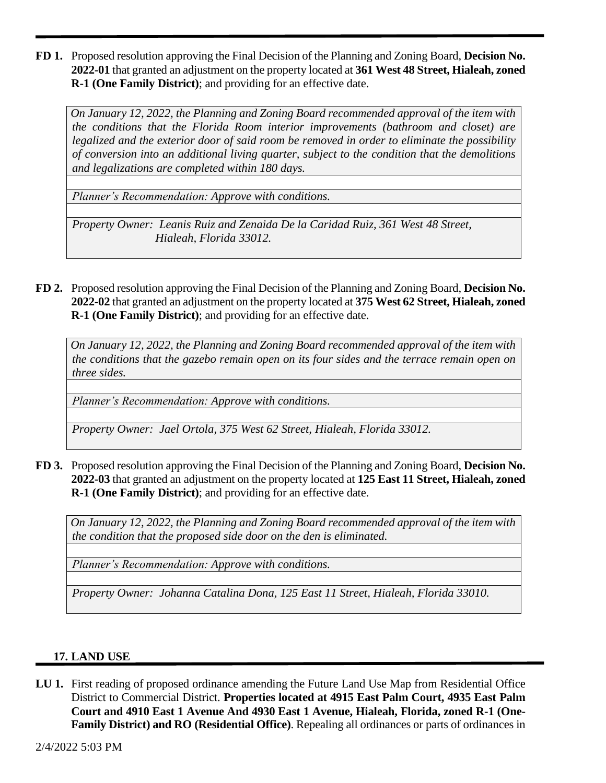**FD 1.** Proposed resolution approving the Final Decision of the Planning and Zoning Board, **Decision No. 2022-01** that granted an adjustment on the property located at **361 West 48 Street, Hialeah, zoned R-1 (One Family District)**; and providing for an effective date.

*On January 12, 2022, the Planning and Zoning Board recommended approval of the item with the conditions that the Florida Room interior improvements (bathroom and closet) are legalized and the exterior door of said room be removed in order to eliminate the possibility of conversion into an additional living quarter, subject to the condition that the demolitions and legalizations are completed within 180 days.*

*Planner's Recommendation: Approve with conditions.* 

*Property Owner: Leanis Ruiz and Zenaida De la Caridad Ruiz, 361 West 48 Street, Hialeah, Florida 33012.*

**FD 2.** Proposed resolution approving the Final Decision of the Planning and Zoning Board, **Decision No. 2022-02** that granted an adjustment on the property located at **375 West 62 Street, Hialeah, zoned R-1 (One Family District)**; and providing for an effective date.

*On January 12, 2022, the Planning and Zoning Board recommended approval of the item with the conditions that the gazebo remain open on its four sides and the terrace remain open on three sides.*

*Planner's Recommendation: Approve with conditions.* 

*Property Owner: Jael Ortola, 375 West 62 Street, Hialeah, Florida 33012.*

**FD 3.** Proposed resolution approving the Final Decision of the Planning and Zoning Board, **Decision No. 2022-03** that granted an adjustment on the property located at **125 East 11 Street, Hialeah, zoned R-1 (One Family District)**; and providing for an effective date.

*On January 12, 2022, the Planning and Zoning Board recommended approval of the item with the condition that the proposed side door on the den is eliminated.*

*Planner's Recommendation: Approve with conditions.* 

*Property Owner: Johanna Catalina Dona, 125 East 11 Street, Hialeah, Florida 33010.*

# **17. LAND USE**

**LU 1.** First reading of proposed ordinance amending the Future Land Use Map from Residential Office District to Commercial District. **Properties located at 4915 East Palm Court, 4935 East Palm Court and 4910 East 1 Avenue And 4930 East 1 Avenue, Hialeah, Florida, zoned R-1 (One-Family District) and RO (Residential Office)**. Repealing all ordinances or parts of ordinances in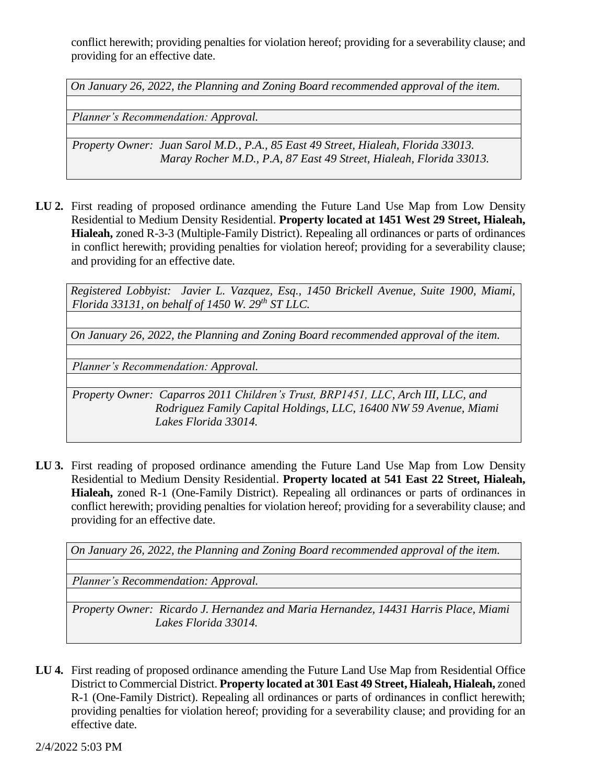conflict herewith; providing penalties for violation hereof; providing for a severability clause; and providing for an effective date.

*On January 26, 2022, the Planning and Zoning Board recommended approval of the item.*

*Planner's Recommendation: Approval.*

*Property Owner: Juan Sarol M.D., P.A., 85 East 49 Street, Hialeah, Florida 33013. Maray Rocher M.D., P.A, 87 East 49 Street, Hialeah, Florida 33013.*

**LU 2.** First reading of proposed ordinance amending the Future Land Use Map from Low Density Residential to Medium Density Residential. **Property located at 1451 West 29 Street, Hialeah, Hialeah,** zoned R-3-3 (Multiple-Family District). Repealing all ordinances or parts of ordinances in conflict herewith; providing penalties for violation hereof; providing for a severability clause; and providing for an effective date.

*Registered Lobbyist: Javier L. Vazquez, Esq., 1450 Brickell Avenue, Suite 1900, Miami, Florida 33131, on behalf of 1450 W. 29th ST LLC.*

*On January 26, 2022, the Planning and Zoning Board recommended approval of the item.*

*Planner's Recommendation: Approval.*

*Property Owner: Caparros 2011 Children's Trust, BRP1451, LLC, Arch III, LLC, and Rodriguez Family Capital Holdings, LLC, 16400 NW 59 Avenue, Miami Lakes Florida 33014.*

**LU 3.** First reading of proposed ordinance amending the Future Land Use Map from Low Density Residential to Medium Density Residential. **Property located at 541 East 22 Street, Hialeah, Hialeah,** zoned R-1 (One-Family District). Repealing all ordinances or parts of ordinances in conflict herewith; providing penalties for violation hereof; providing for a severability clause; and providing for an effective date.

*On January 26, 2022, the Planning and Zoning Board recommended approval of the item.*

*Planner's Recommendation: Approval.*

*Property Owner: Ricardo J. Hernandez and Maria Hernandez, 14431 Harris Place, Miami Lakes Florida 33014.*

**LU 4.** First reading of proposed ordinance amending the Future Land Use Map from Residential Office District to Commercial District. **Property located at 301 East 49 Street, Hialeah, Hialeah,** zoned R-1 (One-Family District). Repealing all ordinances or parts of ordinances in conflict herewith; providing penalties for violation hereof; providing for a severability clause; and providing for an effective date.